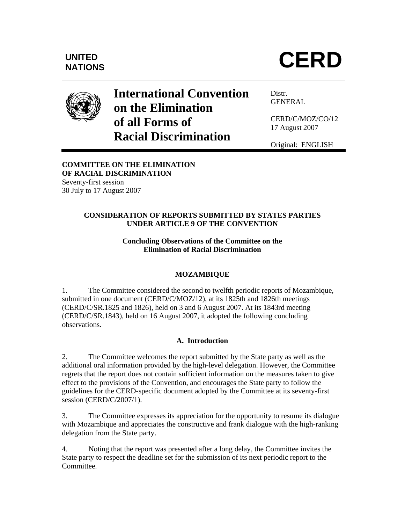

# **International Convention on the Elimination of all Forms of Racial Discrimination**

Distr. GENERAL

CERD/C/MOZ/CO/12 17 August 2007

Original: ENGLISH

# **COMMITTEE ON THE ELIMINATION OF RACIAL DISCRIMINATION**

Seventy-first session 30 July to 17 August 2007

# **CONSIDERATION OF REPORTS SUBMITTED BY STATES PARTIES UNDER ARTICLE 9 OF THE CONVENTION**

## **Concluding Observations of the Committee on the Elimination of Racial Discrimination**

# **MOZAMBIQUE**

1. The Committee considered the second to twelfth periodic reports of Mozambique, submitted in one document (CERD/C/MOZ/12), at its 1825th and 1826th meetings (CERD/C/SR.1825 and 1826), held on 3 and 6 August 2007. At its 1843rd meeting (CERD/C/SR.1843), held on 16 August 2007, it adopted the following concluding observations.

# **A. Introduction**

2. The Committee welcomes the report submitted by the State party as well as the additional oral information provided by the high-level delegation. However, the Committee regrets that the report does not contain sufficient information on the measures taken to give effect to the provisions of the Convention, and encourages the State party to follow the guidelines for the CERD-specific document adopted by the Committee at its seventy-first session (CERD/C/2007/1).

3. The Committee expresses its appreciation for the opportunity to resume its dialogue with Mozambique and appreciates the constructive and frank dialogue with the high-ranking delegation from the State party.

4. Noting that the report was presented after a long delay, the Committee invites the State party to respect the deadline set for the submission of its next periodic report to the Committee.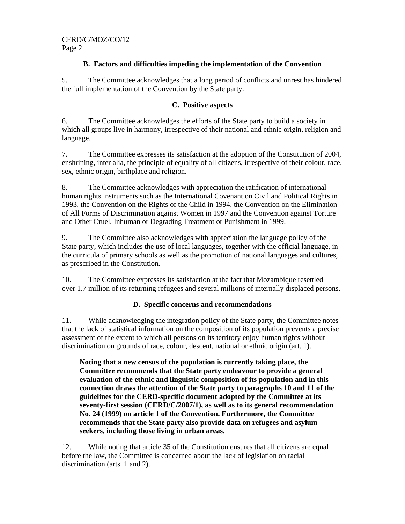## **B. Factors and difficulties impeding the implementation of the Convention**

5. The Committee acknowledges that a long period of conflicts and unrest has hindered the full implementation of the Convention by the State party.

#### **C. Positive aspects**

6. The Committee acknowledges the efforts of the State party to build a society in which all groups live in harmony, irrespective of their national and ethnic origin, religion and language.

7. The Committee expresses its satisfaction at the adoption of the Constitution of 2004, enshrining, inter alia, the principle of equality of all citizens, irrespective of their colour, race, sex, ethnic origin, birthplace and religion.

8. The Committee acknowledges with appreciation the ratification of international human rights instruments such as the International Covenant on Civil and Political Rights in 1993, the Convention on the Rights of the Child in 1994, the Convention on the Elimination of All Forms of Discrimination against Women in 1997 and the Convention against Torture and Other Cruel, Inhuman or Degrading Treatment or Punishment in 1999.

9. The Committee also acknowledges with appreciation the language policy of the State party, which includes the use of local languages, together with the official language, in the curricula of primary schools as well as the promotion of national languages and cultures, as prescribed in the Constitution.

10. The Committee expresses its satisfaction at the fact that Mozambique resettled over 1.7 million of its returning refugees and several millions of internally displaced persons.

## **D. Specific concerns and recommendations**

11. While acknowledging the integration policy of the State party, the Committee notes that the lack of statistical information on the composition of its population prevents a precise assessment of the extent to which all persons on its territory enjoy human rights without discrimination on grounds of race, colour, descent, national or ethnic origin (art. 1).

**Noting that a new census of the population is currently taking place, the Committee recommends that the State party endeavour to provide a general evaluation of the ethnic and linguistic composition of its population and in this connection draws the attention of the State party to paragraphs 10 and 11 of the guidelines for the CERD-specific document adopted by the Committee at its seventy-first session (CERD/C/2007/1), as well as to its general recommendation No. 24 (1999) on article 1 of the Convention. Furthermore, the Committee recommends that the State party also provide data on refugees and asylumseekers, including those living in urban areas.** 

12. While noting that article 35 of the Constitution ensures that all citizens are equal before the law, the Committee is concerned about the lack of legislation on racial discrimination (arts. 1 and 2).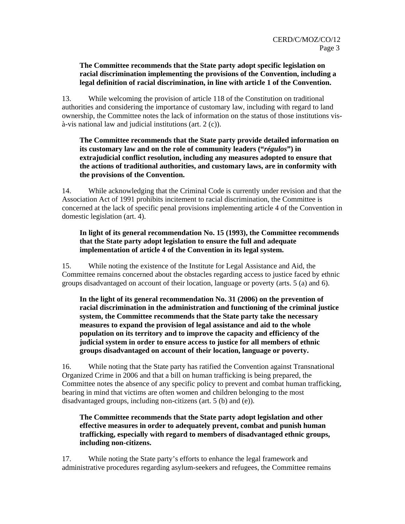#### **The Committee recommends that the State party adopt specific legislation on racial discrimination implementing the provisions of the Convention, including a legal definition of racial discrimination, in line with article 1 of the Convention.**

13. While welcoming the provision of article 118 of the Constitution on traditional authorities and considering the importance of customary law, including with regard to land ownership, the Committee notes the lack of information on the status of those institutions visà-vis national law and judicial institutions (art. 2 (c)).

**The Committee recommends that the State party provide detailed information on its customary law and on the role of community leaders ("***régulos***") in extrajudicial conflict resolution, including any measures adopted to ensure that the actions of traditional authorities, and customary laws, are in conformity with the provisions of the Convention.** 

14. While acknowledging that the Criminal Code is currently under revision and that the Association Act of 1991 prohibits incitement to racial discrimination, the Committee is concerned at the lack of specific penal provisions implementing article 4 of the Convention in domestic legislation (art. 4).

#### **In light of its general recommendation No. 15 (1993), the Committee recommends that the State party adopt legislation to ensure the full and adequate implementation of article 4 of the Convention in its legal system.**

15. While noting the existence of the Institute for Legal Assistance and Aid, the Committee remains concerned about the obstacles regarding access to justice faced by ethnic groups disadvantaged on account of their location, language or poverty (arts. 5 (a) and 6).

**In the light of its general recommendation No. 31 (2006) on the prevention of racial discrimination in the administration and functioning of the criminal justice system, the Committee recommends that the State party take the necessary measures to expand the provision of legal assistance and aid to the whole population on its territory and to improve the capacity and efficiency of the judicial system in order to ensure access to justice for all members of ethnic groups disadvantaged on account of their location, language or poverty.**

16. While noting that the State party has ratified the Convention against Transnational Organized Crime in 2006 and that a bill on human trafficking is being prepared, the Committee notes the absence of any specific policy to prevent and combat human trafficking, bearing in mind that victims are often women and children belonging to the most disadvantaged groups, including non-citizens (art. 5 (b) and (e)).

#### **The Committee recommends that the State party adopt legislation and other effective measures in order to adequately prevent, combat and punish human trafficking, especially with regard to members of disadvantaged ethnic groups, including non-citizens.**

17. While noting the State party's efforts to enhance the legal framework and administrative procedures regarding asylum-seekers and refugees, the Committee remains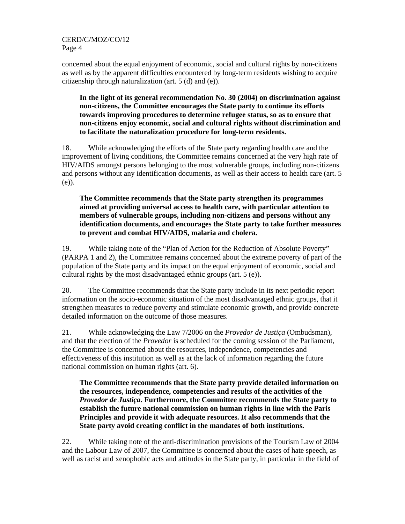CERD/C/MOZ/CO/12 Page 4

concerned about the equal enjoyment of economic, social and cultural rights by non-citizens as well as by the apparent difficulties encountered by long-term residents wishing to acquire citizenship through naturalization (art. 5 (d) and (e)).

**In the light of its general recommendation No. 30 (2004) on discrimination against non-citizens, the Committee encourages the State party to continue its efforts towards improving procedures to determine refugee status, so as to ensure that non-citizens enjoy economic, social and cultural rights without discrimination and to facilitate the naturalization procedure for long-term residents.** 

18. While acknowledging the efforts of the State party regarding health care and the improvement of living conditions, the Committee remains concerned at the very high rate of HIV/AIDS amongst persons belonging to the most vulnerable groups, including non-citizens and persons without any identification documents, as well as their access to health care (art. 5 (e)).

**The Committee recommends that the State party strengthen its programmes aimed at providing universal access to health care, with particular attention to members of vulnerable groups, including non-citizens and persons without any identification documents, and encourages the State party to take further measures to prevent and combat HIV/AIDS, malaria and cholera.** 

19. While taking note of the "Plan of Action for the Reduction of Absolute Poverty" (PARPA 1 and 2), the Committee remains concerned about the extreme poverty of part of the population of the State party and its impact on the equal enjoyment of economic, social and cultural rights by the most disadvantaged ethnic groups (art. 5 (e)).

20. The Committee recommends that the State party include in its next periodic report information on the socio-economic situation of the most disadvantaged ethnic groups, that it strengthen measures to reduce poverty and stimulate economic growth, and provide concrete detailed information on the outcome of those measures.

21. While acknowledging the Law 7/2006 on the *Provedor de Justiça* (Ombudsman), and that the election of the *Provedor* is scheduled for the coming session of the Parliament, the Committee is concerned about the resources, independence, competencies and effectiveness of this institution as well as at the lack of information regarding the future national commission on human rights (art. 6).

**The Committee recommends that the State party provide detailed information on the resources, independence, competencies and results of the activities of the**  *Provedor de Justiça***. Furthermore, the Committee recommends the State party to establish the future national commission on human rights in line with the Paris Principles and provide it with adequate resources. It also recommends that the State party avoid creating conflict in the mandates of both institutions.** 

22. While taking note of the anti-discrimination provisions of the Tourism Law of 2004 and the Labour Law of 2007, the Committee is concerned about the cases of hate speech, as well as racist and xenophobic acts and attitudes in the State party, in particular in the field of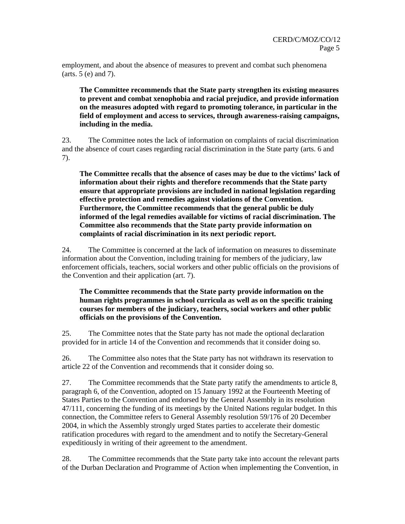employment, and about the absence of measures to prevent and combat such phenomena (arts. 5 (e) and 7).

**The Committee recommends that the State party strengthen its existing measures to prevent and combat xenophobia and racial prejudice, and provide information on the measures adopted with regard to promoting tolerance, in particular in the field of employment and access to services, through awareness-raising campaigns, including in the media.** 

23. The Committee notes the lack of information on complaints of racial discrimination and the absence of court cases regarding racial discrimination in the State party (arts. 6 and 7).

**The Committee recalls that the absence of cases may be due to the victims' lack of information about their rights and therefore recommends that the State party ensure that appropriate provisions are included in national legislation regarding effective protection and remedies against violations of the Convention. Furthermore, the Committee recommends that the general public be duly informed of the legal remedies available for victims of racial discrimination. The Committee also recommends that the State party provide information on complaints of racial discrimination in its next periodic report.** 

24. The Committee is concerned at the lack of information on measures to disseminate information about the Convention, including training for members of the judiciary, law enforcement officials, teachers, social workers and other public officials on the provisions of the Convention and their application (art. 7).

#### **The Committee recommends that the State party provide information on the human rights programmes in school curricula as well as on the specific training courses for members of the judiciary, teachers, social workers and other public officials on the provisions of the Convention.**

25. The Committee notes that the State party has not made the optional declaration provided for in article 14 of the Convention and recommends that it consider doing so.

26. The Committee also notes that the State party has not withdrawn its reservation to article 22 of the Convention and recommends that it consider doing so.

27. The Committee recommends that the State party ratify the amendments to article 8, paragraph 6, of the Convention, adopted on 15 January 1992 at the Fourteenth Meeting of States Parties to the Convention and endorsed by the General Assembly in its resolution 47/111, concerning the funding of its meetings by the United Nations regular budget. In this connection, the Committee refers to General Assembly resolution 59/176 of 20 December 2004, in which the Assembly strongly urged States parties to accelerate their domestic ratification procedures with regard to the amendment and to notify the Secretary-General expeditiously in writing of their agreement to the amendment.

28. The Committee recommends that the State party take into account the relevant parts of the Durban Declaration and Programme of Action when implementing the Convention, in